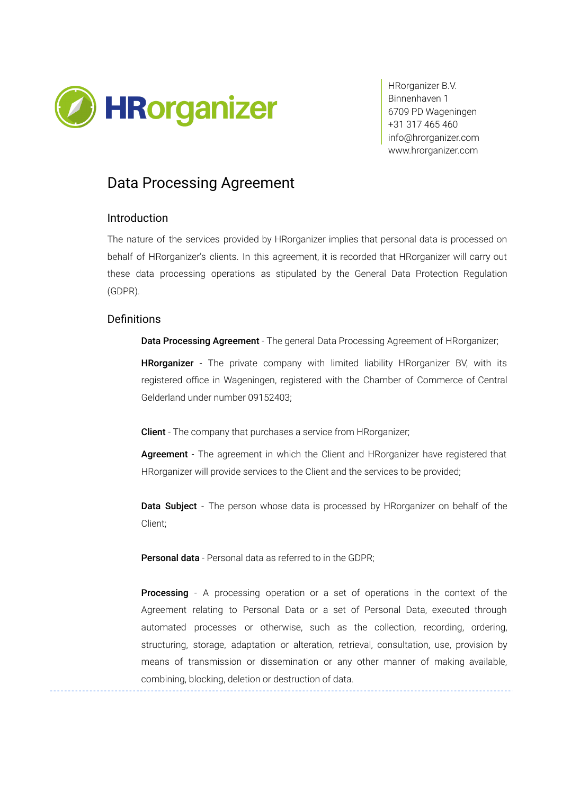

HRorganizer B.V. Binnenhaven 1 6709 PD Wageningen +31 317 465 460 [info@hrorganizer.com](mailto:info@hrorganizer.com) [www.hrorganizer.com](http://www.hrorganizer.com/)

# Data Processing Agreement

#### Introduction

The nature of the services provided by HRorganizer implies that personal data is processed on behalf of HRorganizer's clients. In this agreement, it is recorded that HRorganizer will carry out these data processing operations as stipulated by the General Data Protection Regulation (GDPR).

#### **Definitions**

Data Processing Agreement - The general Data Processing Agreement of HRorganizer;

HRorganizer - The private company with limited liability HRorganizer BV, with its registered office in Wageningen, registered with the Chamber of Commerce of Central Gelderland under number 09152403;

Client - The company that purchases a service from HRorganizer;

Agreement - The agreement in which the Client and HRorganizer have registered that HRorganizer will provide services to the Client and the services to be provided;

**Data Subject** - The person whose data is processed by HRorganizer on behalf of the Client;

Personal data - Personal data as referred to in the GDPR;

**Processing** - A processing operation or a set of operations in the context of the Agreement relating to Personal Data or a set of Personal Data, executed through automated processes or otherwise, such as the collection, recording, ordering, structuring, storage, adaptation or alteration, retrieval, consultation, use, provision by means of transmission or dissemination or any other manner of making available, combining, blocking, deletion or destruction of data.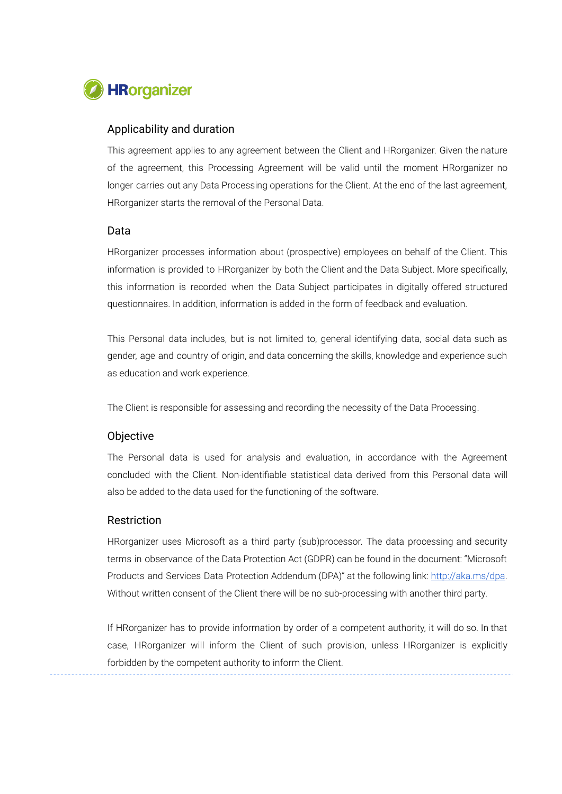

### Applicability and duration

This agreement applies to any agreement between the Client and HRorganizer. Given the nature of the agreement, this Processing Agreement will be valid until the moment HRorganizer no longer carries out any Data Processing operations for the Client. At the end of the last agreement, HRorganizer starts the removal of the Personal Data.

#### Data

HRorganizer processes information about (prospective) employees on behalf of the Client. This information is provided to HRorganizer by both the Client and the Data Subject. More specifically, this information is recorded when the Data Subject participates in digitally offered structured questionnaires. In addition, information is added in the form of feedback and evaluation.

This Personal data includes, but is not limited to, general identifying data, social data such as gender, age and country of origin, and data concerning the skills, knowledge and experience such as education and work experience.

The Client is responsible for assessing and recording the necessity of the Data Processing.

## **Objective**

The Personal data is used for analysis and evaluation, in accordance with the Agreement concluded with the Client. Non-identifiable statistical data derived from this Personal data will also be added to the data used for the functioning of the software.

#### Restriction

HRorganizer uses Microsoft as a third party (sub)processor. The data processing and security terms in observance of the Data Protection Act (GDPR) can be found in the document: "Microsoft Products and Services Data Protection Addendum (DPA)" at the following link: [http://aka.ms/dpa.](http://aka.ms/dpa) Without written consent of the Client there will be no sub-processing with another third party.

If HRorganizer has to provide information by order of a competent authority, it will do so. In that case, HRorganizer will inform the Client of such provision, unless HRorganizer is explicitly forbidden by the competent authority to inform the Client.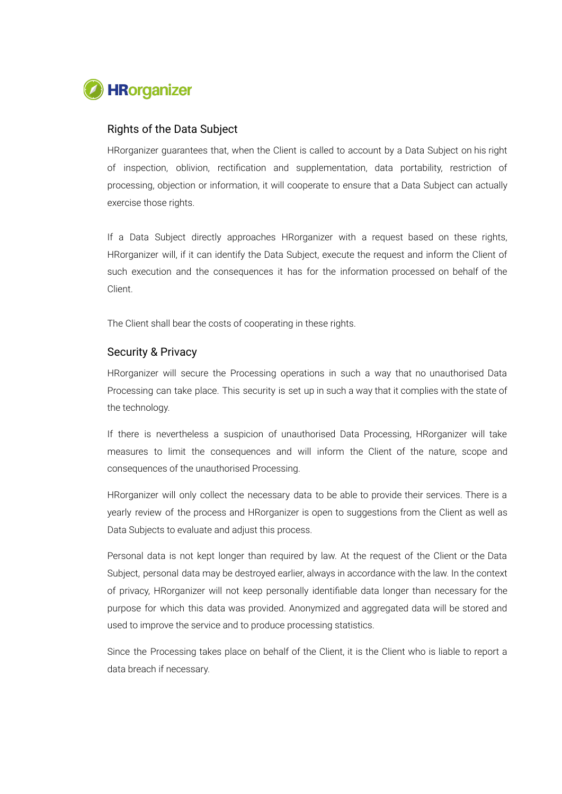

#### Rights of the Data Subject

HRorganizer guarantees that, when the Client is called to account by a Data Subject on his right of inspection, oblivion, rectification and supplementation, data portability, restriction of processing, objection or information, it will cooperate to ensure that a Data Subject can actually exercise those rights.

If a Data Subject directly approaches HRorganizer with a request based on these rights, HRorganizer will, if it can identify the Data Subject, execute the request and inform the Client of such execution and the consequences it has for the information processed on behalf of the Client.

The Client shall bear the costs of cooperating in these rights.

## Security & Privacy

HRorganizer will secure the Processing operations in such a way that no unauthorised Data Processing can take place. This security is set up in such a way that it complies with the state of the technology.

If there is nevertheless a suspicion of unauthorised Data Processing, HRorganizer will take measures to limit the consequences and will inform the Client of the nature, scope and consequences of the unauthorised Processing.

HRorganizer will only collect the necessary data to be able to provide their services. There is a yearly review of the process and HRorganizer is open to suggestions from the Client as well as Data Subjects to evaluate and adjust this process.

Personal data is not kept longer than required by law. At the request of the Client or the Data Subject, personal data may be destroyed earlier, always in accordance with the law. In the context of privacy, HRorganizer will not keep personally identifiable data longer than necessary for the purpose for which this data was provided. Anonymized and aggregated data will be stored and used to improve the service and to produce processing statistics.

Since the Processing takes place on behalf of the Client, it is the Client who is liable to report a data breach if necessary.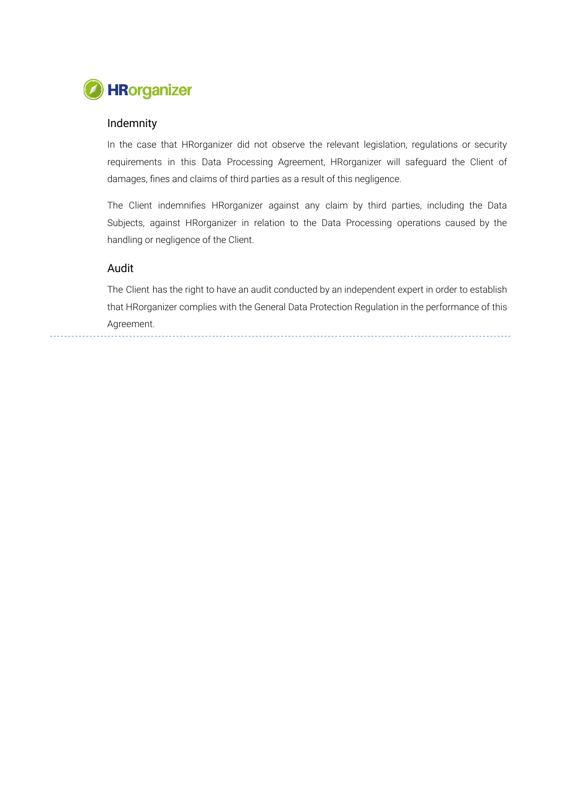

## Indemnity

In the case that HRorganizer did not observe the relevant legislation, regulations or security requirements in this Data Processing Agreement, HRorganizer will safeguard the Client of damages, fines and claims of third parties as a result of this negligence.

The Client indemnifies HRorganizer against any claim by third parties, including the Data Subjects, against HRorganizer in relation to the Data Processing operations caused by the handling or negligence of the Client.

### Audit

The Client has the right to have an audit conducted by an independent expert in order to establish that HRorganizer complies with the General Data Protection Regulation in the performance of this Agreement.